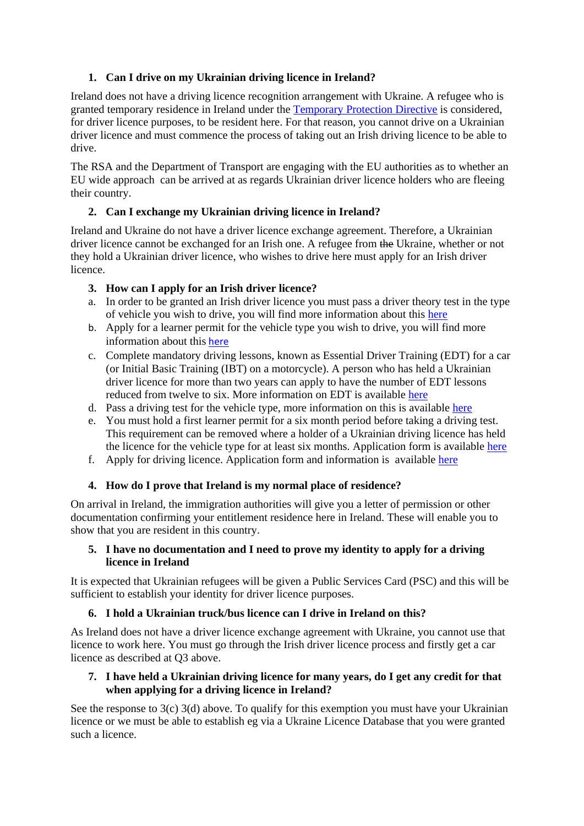# **1. Can I drive on my Ukrainian driving licence in Ireland?**

Ireland does not have a driving licence recognition arrangement with Ukraine. A refugee who is granted temporary residence in Ireland under the [Temporary](https://ec.europa.eu/home-affairs/policies/migration-and-asylum/common-european-asylum-system/temporary-protection_en) Protection Directive is considered, for driver licence purposes, to be resident here. For that reason, you cannot drive on a Ukrainian driver licence and must commence the process of taking out an Irish driving licence to be able to drive.

The RSA and the Department of Transport are engaging with the EU authorities as to whether an EU wide approach can be arrived at as regards Ukrainian driver licence holders who are fleeing their country.

# **2. Can I exchange my Ukrainian driving licence in Ireland?**

Ireland and Ukraine do not have a driver licence exchange agreement. Therefore, a Ukrainian driver licence cannot be exchanged for an Irish one. A refugee from the Ukraine, whether or not they hold a Ukrainian driver licence, who wishes to drive here must apply for an Irish driver licence.

# **3. How can I apply for an Irish driver licence?**

- a. In order to be granted an Irish driver licence you must pass a driver theory test in the type of vehicle you wish to drive, you will find more information about this [here](https://theorytest.ie/book-your-theory-test/)
- b. Apply for a learner permit for the vehicle type you wish to drive, you will find more information about this [here](https://www.ndls.ie/learner-driver/my-first-learner-permit.html)
- c. Complete mandatory driving lessons, known as Essential Driver Training (EDT) for a car (or Initial Basic Training (IBT) on a motorcycle). A person who has held a Ukrainian driver licence for more than two years can apply to have the number of EDT lessons reduced from twelve to six. More information on EDT is available [here](https://www.rsa.ie/services/learner-drivers/driving-lessons/car-driving-lessons-(edt))
- d. Pass a driving test for the vehicle type, more information on this is available [here](https://www.rsa.ie/services/learner-drivers/the-driving-test)
- e. You must hold a first learner permit for a six month period before taking a driving test. This requirement can be removed where a holder of a Ukrainian driving licence has held the licence for the vehicle type for at least six months. Application form is available [here](https://www.ndls.ie/images/Documents/Forms/166459%20RSA%20EDT%20App%20Form_HR_WEB.PDF)
- f. Apply for driving licence. Application form and information is available [here](https://www.ndls.ie/licensed-driver/my-first-time-driving-licence.html)

# **4. How do I prove that Ireland is my normal place of residence?**

On arrival in Ireland, the immigration authorities will give you a letter of permission or other documentation confirming your entitlement residence here in Ireland. These will enable you to show that you are resident in this country.

#### **5. I have no documentation and I need to prove my identity to apply for a driving licence in Ireland**

It is expected that Ukrainian refugees will be given a Public Services Card (PSC) and this will be sufficient to establish your identity for driver licence purposes.

## **6. I hold a Ukrainian truck/bus licence can I drive in Ireland on this?**

As Ireland does not have a driver licence exchange agreement with Ukraine, you cannot use that licence to work here. You must go through the Irish driver licence process and firstly get a car licence as described at Q3 above.

## **7. I have held a Ukrainian driving licence for many years, do I get any credit for that when applying for a driving licence in Ireland?**

See the response to 3(c) 3(d) above. To qualify for this exemption you must have your Ukrainian licence or we must be able to establish eg via a Ukraine Licence Database that you were granted such a licence.